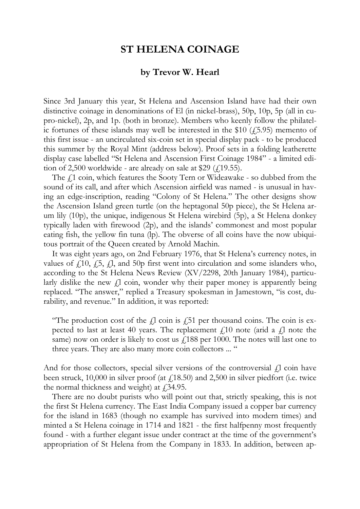## **ST HELENA COINAGE**

## **by Trevor W. Hearl**

Since 3rd January this year, St Helena and Ascension Island have had their own distinctive coinage in denominations of El (in nickel-brass), 50p, 10p, 5p (all in cupro-nickel), 2p, and 1p. (both in bronze). Members who keenly follow the philatelic fortunes of these islands may well be interested in the \$10  $(f5.95)$  memento of this first issue - an uncirculated six-coin set in special display pack - to be produced this summer by the Royal Mint (address below). Proof sets in a folding leatherette display case labelled "St Helena and Ascension First Coinage 1984" - a limited edition of 2,500 worldwide - are already on sale at \$29 ( $\ell$ ,19.55).

The  $f_1$  coin, which features the Sooty Tern or Wideawake - so dubbed from the sound of its call, and after which Ascension airfield was named - is unusual in having an edge-inscription, reading "Colony of St Helena." The other designs show the Ascension Island green turtle (on the heptagonal 50p piece), the St Helena arum lily (10p), the unique, indigenous St Helena wirebird (5p), a St Helena donkey typically laden with firewood (2p), and the islands' commonest and most popular eating fish, the yellow fin tuna (lp). The obverse of all coins have the now ubiquitous portrait of the Queen created by Arnold Machin.

It was eight years ago, on 2nd February 1976, that St Helena's currency notes, in values of  $f(10, f5, f1)$ , and 50p first went into circulation and some islanders who, according to the St Helena News Review (XV/2298, 20th January 1984), particularly dislike the new  $\mu$  coin, wonder why their paper money is apparently being replaced. "The answer," replied a Treasury spokesman in Jamestown, "is cost, durability, and revenue." In addition, it was reported:

"The production cost of the  $f$  coin is  $f$  51 per thousand coins. The coin is expected to last at least 40 years. The replacement  $f(10)$  note (arid a  $f(1)$  note the same) now on order is likely to cost us  $\ell$ 188 per 1000. The notes will last one to three years. They are also many more coin collectors ... "

And for those collectors, special silver versions of the controversial  $\ell$ l coin have been struck, 10,000 in silver proof (at  $f(18.50)$  and 2,500 in silver piedfort (i.e. twice the normal thickness and weight) at  $\angle$  134.95.

There are no doubt purists who will point out that, strictly speaking, this is not the first St Helena currency. The East India Company issued a copper bar currency for the island in 1683 (though no example has survived into modern times) and minted a St Helena coinage in 1714 and 1821 - the first halfpenny most frequently found - with a further elegant issue under contract at the time of the government's appropriation of St Helena from the Company in 1833. In addition, between ap